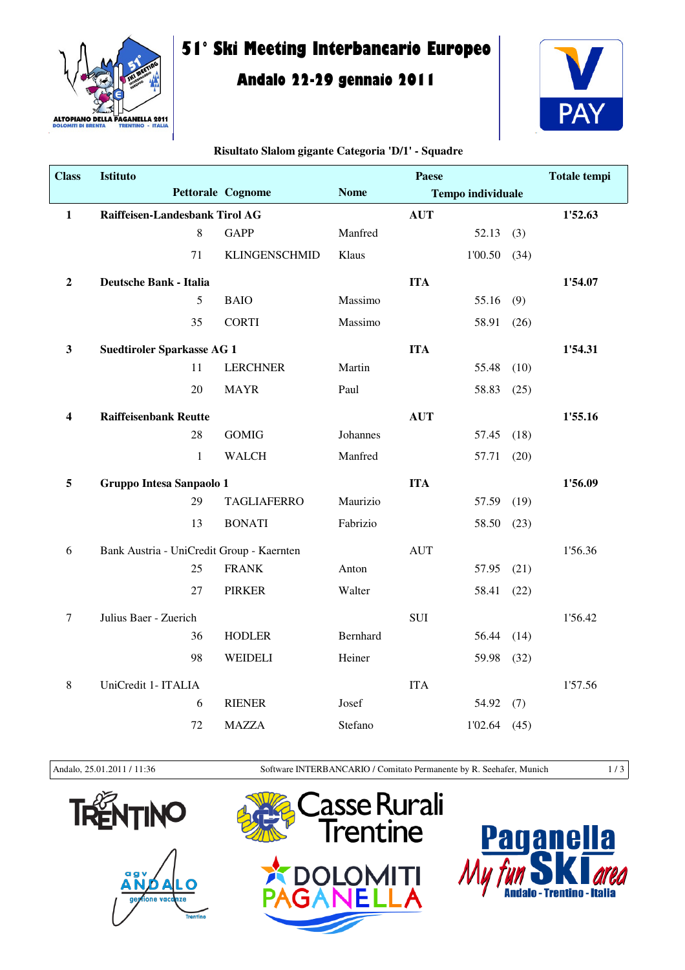

# **51° Ski Meeting Interbancario Europeo**

## **Andalo 22-29 gennaio 2011**



## **Class Istituto** Pettorale Cognome Nome **Totale tempi Tempo individuale Paese** 1 Raiffeisen-Landesbank Tirol AG **AUT** 1'52.63 8 GAPP Manfred 52.13 (3) 71 KLINGENSCHMID Klaus 1'00.50 (34) **2 Deutsche Bank - Italia ITA 1'54.07** 5 BAIO Massimo 55.16 (9) 35 CORTI Massimo 58.91 (26) **3** Suedtiroler Sparkasse AG 1 **ITA ITA** 1'54.31 11 LERCHNER Martin 55.48 (10) 20 MAYR Paul 58.83 (25) **4 Raiffeisenbank Reutte AUT 1'55.16** 28 GOMIG Johannes 57.45 (18) 1 WALCH Manfred 57.71 (20) 5 Gruppo Intesa Sanpaolo 1 **ITA** 1'56.09 29 TAGLIAFERRO Maurizio 57.59 (19) 13 BONATI Fabrizio 58.50 (23) 6 Bank Austria - UniCredit Group - Kaernten AUT 1'56.36 25 FRANK Anton 57.95 (21) 27 PIRKER Walter 58.41 (22) 7 Julius Baer - Zuerich SUI 1'56.42 36 HODLER Bernhard 56.44 (14) 98 WEIDELI Heiner 59.98 (32) 8 UniCredit 1- ITALIA 1'57.56 6 RIENER Josef 54.92 (7) 72 MAZZA Stefano 1'02.64 (45)

#### **Risultato Slalom gigante Categoria 'D/1' - Squadre**

Andalo, 25.01.2011 / 11:36 Software INTERBANCARIO / Comitato Permanente by R. Seehafer, Munich 1 / 3







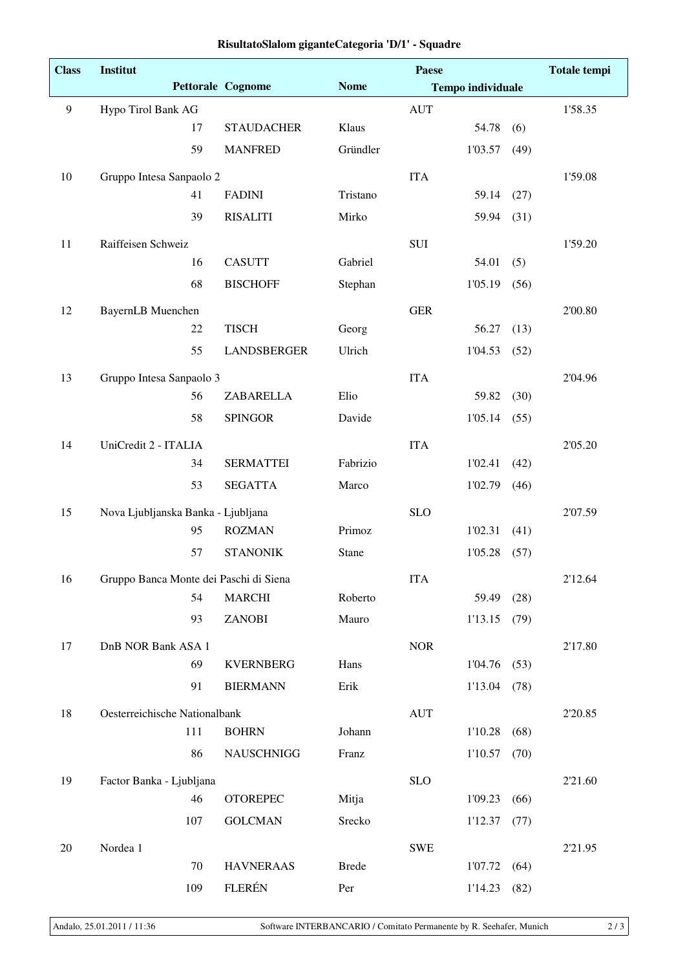| <b>Class</b>   | <b>Institut</b>                        |     |                          |              | <b>Paese</b> |                          |         | <b>Totale tempi</b> |
|----------------|----------------------------------------|-----|--------------------------|--------------|--------------|--------------------------|---------|---------------------|
|                |                                        |     | <b>Pettorale Cognome</b> | <b>Nome</b>  |              | <b>Tempo individuale</b> |         |                     |
| $\overline{9}$ | Hypo Tirol Bank AG                     |     |                          |              | <b>AUT</b>   |                          |         | 1'58.35             |
|                |                                        | 17  | <b>STAUDACHER</b>        | Klaus        |              | 54.78                    | (6)     |                     |
|                |                                        | 59  | <b>MANFRED</b>           | Gründler     |              | 1'03.57                  | (49)    |                     |
| 10             | Gruppo Intesa Sanpaolo 2               |     |                          |              | <b>ITA</b>   |                          |         | 1'59.08             |
|                |                                        | 41  | <b>FADINI</b>            | Tristano     |              | 59.14                    | (27)    |                     |
|                |                                        | 39  | <b>RISALITI</b>          | Mirko        |              | 59.94                    | (31)    |                     |
| 11             | Raiffeisen Schweiz                     |     |                          |              | <b>SUI</b>   |                          |         | 1'59.20             |
|                |                                        | 16  | <b>CASUTT</b>            | Gabriel      |              | 54.01                    | (5)     |                     |
|                |                                        | 68  | <b>BISCHOFF</b>          | Stephan      |              | 1'05.19                  | (56)    |                     |
| 12             | BayernLB Muenchen                      |     |                          |              | <b>GER</b>   |                          |         | 2'00.80             |
|                |                                        | 22  | <b>TISCH</b>             | Georg        |              | 56.27                    | (13)    |                     |
|                |                                        | 55  | <b>LANDSBERGER</b>       | Ulrich       |              | 1'04.53                  | (52)    |                     |
| 13             | Gruppo Intesa Sanpaolo 3               |     |                          |              | <b>ITA</b>   |                          |         | 2'04.96             |
|                |                                        | 56  | ZABARELLA                | Elio         |              | 59.82                    | (30)    |                     |
|                |                                        | 58  | <b>SPINGOR</b>           | Davide       |              | 1'05.14                  | (55)    |                     |
| 14             | UniCredit 2 - ITALIA                   |     |                          |              | <b>ITA</b>   |                          |         | 2'05.20             |
|                |                                        | 34  | <b>SERMATTEI</b>         | Fabrizio     |              | 1'02.41                  | (42)    |                     |
|                |                                        | 53  | <b>SEGATTA</b>           | Marco        |              | 1'02.79                  | (46)    |                     |
| 15             | Nova Ljubljanska Banka - Ljubljana     |     |                          |              | <b>SLO</b>   |                          |         | 2'07.59             |
|                |                                        | 95  | <b>ROZMAN</b>            | Primoz       |              | 1'02.31                  | (41)    |                     |
|                |                                        | 57  | <b>STANONIK</b>          | Stane        |              | 1'05.28                  | (57)    |                     |
| 16             | Gruppo Banca Monte dei Paschi di Siena |     |                          | <b>ITA</b>   |              |                          | 2'12.64 |                     |
|                |                                        | 54  | <b>MARCHI</b>            | Roberto      |              | 59.49                    | (28)    |                     |
|                |                                        | 93  | <b>ZANOBI</b>            | Mauro        |              | $1'13.15$ (79)           |         |                     |
| 17             | DnB NOR Bank ASA 1                     |     |                          |              | <b>NOR</b>   |                          |         | 2'17.80             |
|                |                                        | 69  | <b>KVERNBERG</b>         | Hans         |              | 1'04.76                  | (53)    |                     |
|                |                                        | 91  | <b>BIERMANN</b>          | Erik         |              | 1'13.04                  | (78)    |                     |
| 18             | Oesterreichische Nationalbank          |     |                          | <b>AUT</b>   |              |                          | 2'20.85 |                     |
|                |                                        | 111 | <b>BOHRN</b>             | Johann       |              | 1'10.28                  | (68)    |                     |
|                |                                        | 86  | <b>NAUSCHNIGG</b>        | Franz        |              | 1'10.57                  | (70)    |                     |
| 19             | Factor Banka - Ljubljana               |     |                          |              | <b>SLO</b>   |                          |         | 2'21.60             |
|                |                                        | 46  | <b>OTOREPEC</b>          | Mitja        |              | 1'09.23                  | (66)    |                     |
|                |                                        | 107 | <b>GOLCMAN</b>           | Srecko       |              | 1'12.37                  | (77)    |                     |
| $20\,$         | Nordea 1                               |     |                          |              | <b>SWE</b>   |                          |         | 2'21.95             |
|                |                                        | 70  | <b>HAVNERAAS</b>         | <b>Brede</b> |              | 1'07.72                  | (64)    |                     |
|                |                                        | 109 | <b>FLERÉN</b>            | Per          |              | 1'14.23                  | (82)    |                     |

#### **RisultatoSlalom giganteCategoria 'D/1' - Squadre**